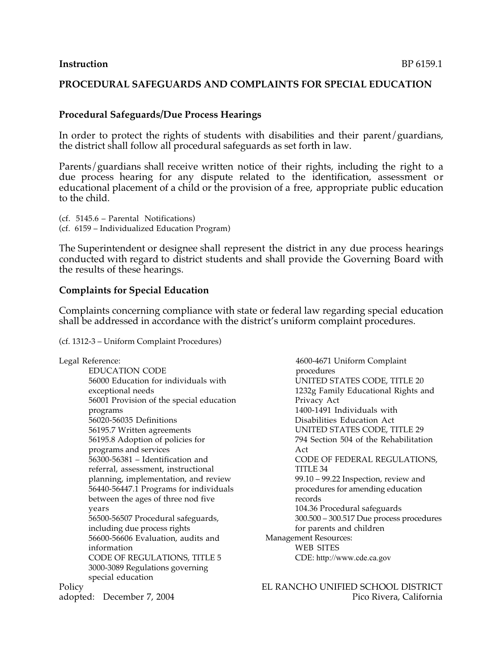# **Procedural Safeguards/Due Process Hearings**

In order to protect the rights of students with disabilities and their parent/guardians, the district shall follow all procedural safeguards as set forth in law.

Parents/guardians shall receive written notice of their rights, including the right to a due process hearing for any dispute related to the identification, assessment or educational placement of a child or the provision of a free, appropriate public education to the child.

(cf. 5145.6 – Parental Notifications) (cf. 6159 – Individualized Education Program)

The Superintendent or designee shall represent the district in any due process hearings conducted with regard to district students and shall provide the Governing Board with the results of these hearings.

### **Complaints for Special Education**

Complaints concerning compliance with state or federal law regarding special education shall be addressed in accordance with the district's uniform complaint procedures.

(cf. 1312-3 – Uniform Complaint Procedures)

Legal Reference: EDUCATION CODE 56000 Education for individuals with exceptional needs 56001 Provision of the special education programs 56020-56035 Definitions 56195.7 Written agreements 56195.8 Adoption of policies for programs and services 56300-56381 – Identification and referral, assessment, instructional planning, implementation, and review 56440-56447.1 Programs for individuals between the ages of three nod five years 56500-56507 Procedural safeguards, including due process rights 56600-56606 Evaluation, audits and information CODE OF REGULATIONS, TITLE 5 3000-3089 Regulations governing special education 4600-4671 Uniform Complaint procedures UNITED STATES CODE, TITLE 20 1232g Family Educational Rights and Privacy Act 1400-1491 Individuals with Disabilities Education Act UNITED STATES CODE, TITLE 29 794 Section 504 of the Rehabilitation Act CODE OF FEDERAL REGULATIONS, TITLE 34 99.10 – 99.22 Inspection, review and procedures for amending education records 104.36 Procedural safeguards 300.500 – 300.517 Due process procedures for parents and children Management Resources: WEB SITES CDE: http://www.cde.ca.gov Policy EL RANCHO UNIFIED SCHOOL DISTRICT adopted: December 7, 2004 **Pico Rivera, California**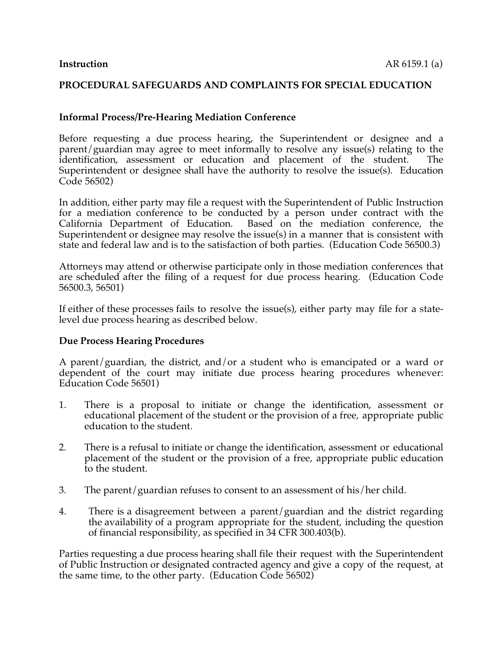### **Informal Process/Pre-Hearing Mediation Conference**

Before requesting a due process hearing, the Superintendent or designee and a parent/guardian may agree to meet informally to resolve any issue(s) relating to the identification, assessment or education and placement of the student. The Superintendent or designee shall have the authority to resolve the issue(s). Education Code 56502)

In addition, either party may file a request with the Superintendent of Public Instruction for a mediation conference to be conducted by a person under contract with the California Department of Education. Based on the mediation conference, the Based on the mediation conference, the Superintendent or designee may resolve the issue(s) in a manner that is consistent with state and federal law and is to the satisfaction of both parties. (Education Code 56500.3)

Attorneys may attend or otherwise participate only in those mediation conferences that are scheduled after the filing of a request for due process hearing. (Education Code 56500.3, 56501)

If either of these processes fails to resolve the issue(s), either party may file for a statelevel due process hearing as described below.

#### **Due Process Hearing Procedures**

A parent/guardian, the district, and/or a student who is emancipated or a ward or dependent of the court may initiate due process hearing procedures whenever: Education Code 56501)

- 1. There is a proposal to initiate or change the identification, assessment or educational placement of the student or the provision of a free, appropriate public education to the student.
- 2. There is a refusal to initiate or change the identification, assessment or educational placement of the student or the provision of a free, appropriate public education to the student.
- 3. The parent/guardian refuses to consent to an assessment of his/her child.
- 4. There is a disagreement between a parent/guardian and the district regarding the availability of a program appropriate for the student, including the question of financial responsibility, as specified in 34 CFR 300.403(b).

Parties requesting a due process hearing shall file their request with the Superintendent of Public Instruction or designated contracted agency and give a copy of the request, at the same time, to the other party. (Education Code 56502)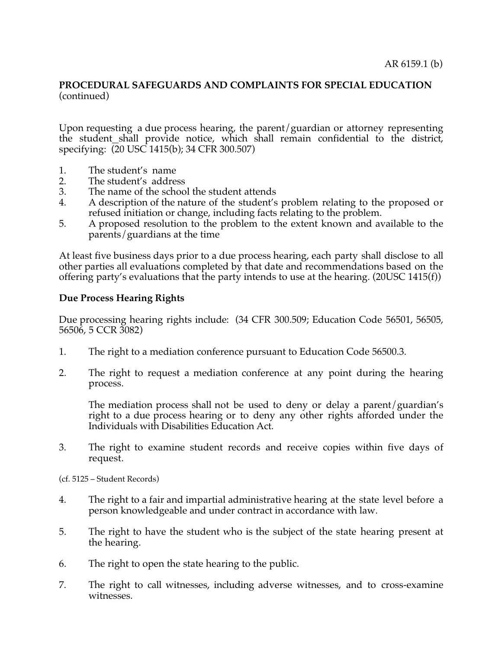Upon requesting a due process hearing, the parent/guardian or attorney representing the student shall provide notice, which shall remain confidential to the district, specifying: (20 USC 1415(b); 34 CFR 300.507)

- 1. The student's name<br>2. The student's addres
- 2. The student's address<br>3. The name of the schoo
- 3. The name of the school the student attends<br>4. A description of the nature of the student's
- 4. A description of the nature of the student's problem relating to the proposed or refused initiation or change, including facts relating to the problem.
- 5. A proposed resolution to the problem to the extent known and available to the parents/guardians at the time

At least five business days prior to a due process hearing, each party shall disclose to all other parties all evaluations completed by that date and recommendations based on the offering party's evaluations that the party intends to use at the hearing. (20USC 1415(f))

### **Due Process Hearing Rights**

Due processing hearing rights include: (34 CFR 300.509; Education Code 56501, 56505, 56506, 5 CCR 3082)

- 1. The right to a mediation conference pursuant to Education Code 56500.3.
- 2. The right to request a mediation conference at any point during the hearing process.

The mediation process shall not be used to deny or delay a parent/guardian's right to a due process hearing or to deny any other rights afforded under the Individuals with Disabilities Education Act.

3. The right to examine student records and receive copies within five days of request.

(cf. 5125 – Student Records)

- 4. The right to a fair and impartial administrative hearing at the state level before a person knowledgeable and under contract in accordance with law.
- 5. The right to have the student who is the subject of the state hearing present at the hearing.
- 6. The right to open the state hearing to the public.
- 7. The right to call witnesses, including adverse witnesses, and to cross-examine witnesses.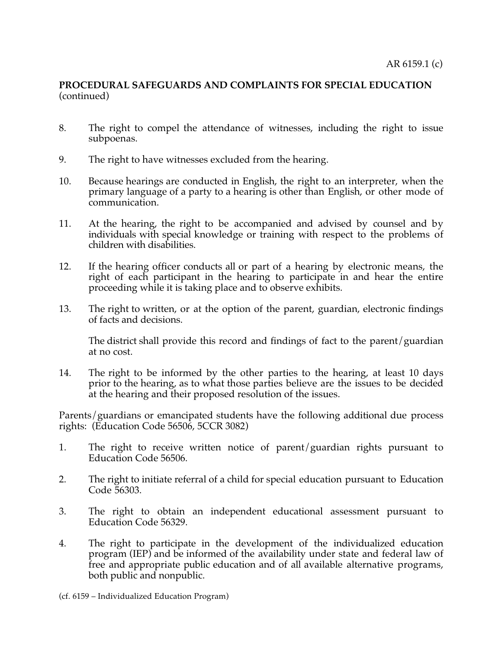- 8. The right to compel the attendance of witnesses, including the right to issue subpoenas.
- 9. The right to have witnesses excluded from the hearing.
- 10. Because hearings are conducted in English, the right to an interpreter, when the primary language of a party to a hearing is other than English, or other mode of communication.
- 11. At the hearing, the right to be accompanied and advised by counsel and by individuals with special knowledge or training with respect to the problems of children with disabilities.
- 12. If the hearing officer conducts all or part of a hearing by electronic means, the right of each participant in the hearing to participate in and hear the entire proceeding while it is taking place and to observe exhibits.
- 13. The right to written, or at the option of the parent, guardian, electronic findings of facts and decisions.

The district shall provide this record and findings of fact to the parent/guardian at no cost.

14. The right to be informed by the other parties to the hearing, at least 10 days prior to the hearing, as to what those parties believe are the issues to be decided at the hearing and their proposed resolution of the issues.

Parents/guardians or emancipated students have the following additional due process rights: (Education Code 56506, 5CCR 3082)

- 1. The right to receive written notice of parent/guardian rights pursuant to Education Code 56506.
- 2. The right to initiate referral of a child for special education pursuant to Education Code 56303.
- 3. The right to obtain an independent educational assessment pursuant to Education Code 56329.
- 4. The right to participate in the development of the individualized education program (IEP) and be informed of the availability under state and federal law of free and appropriate public education and of all available alternative programs, both public and nonpublic.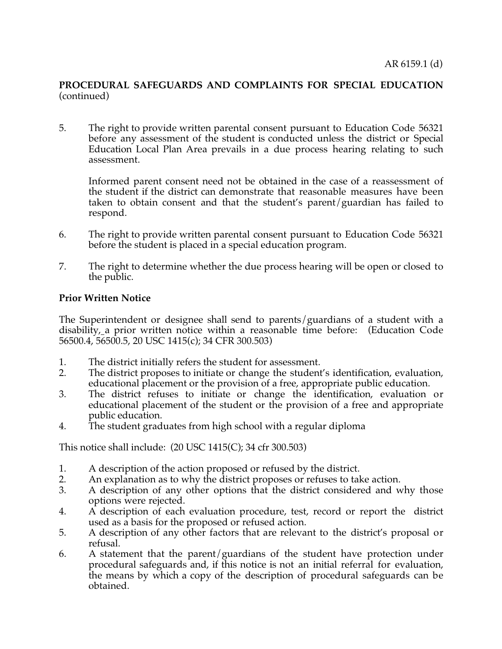5. The right to provide written parental consent pursuant to Education Code 56321 before any assessment of the student is conducted unless the district or Special Education Local Plan Area prevails in a due process hearing relating to such assessment.

Informed parent consent need not be obtained in the case of a reassessment of the student if the district can demonstrate that reasonable measures have been taken to obtain consent and that the student's parent/guardian has failed to respond.

- 6. The right to provide written parental consent pursuant to Education Code 56321 before the student is placed in a special education program.
- 7. The right to determine whether the due process hearing will be open or closed to the public.

# **Prior Written Notice**

The Superintendent or designee shall send to parents/guardians of a student with a disability, a prior written notice within a reasonable time before: (Education Code 56500.4, 56500.5, 20 USC 1415(c); 34 CFR 300.503)

- 1. The district initially refers the student for assessment.
- 2. The district proposes to initiate or change the student's identification, evaluation, educational placement or the provision of a free, appropriate public education.
- 3. The district refuses to initiate or change the identification, evaluation or educational placement of the student or the provision of a free and appropriate public education.
- 4. The student graduates from high school with a regular diploma

This notice shall include: (20 USC 1415(C); 34 cfr 300.503)

- 1. A description of the action proposed or refused by the district.<br>2. An explanation as to why the district proposes or refuses to take
- An explanation as to why the district proposes or refuses to take action.
- 3. A description of any other options that the district considered and why those options were rejected.
- 4. A description of each evaluation procedure, test, record or report the district used as a basis for the proposed or refused action.
- 5. A description of any other factors that are relevant to the district's proposal or refusal.
- 6. A statement that the parent/guardians of the student have protection under procedural safeguards and, if this notice is not an initial referral for evaluation, the means by which a copy of the description of procedural safeguards can be obtained.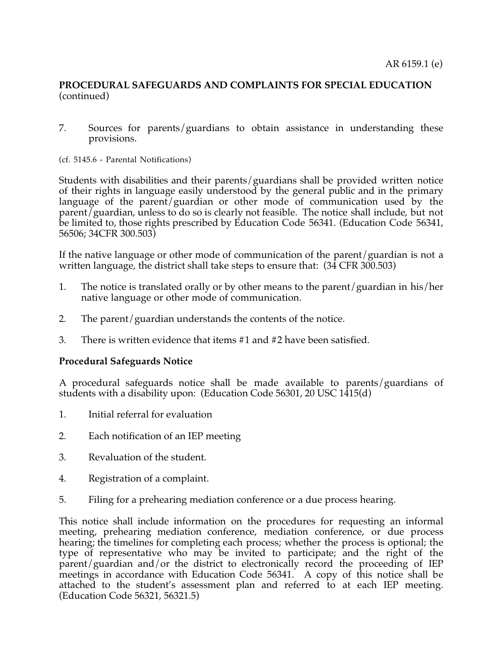- 7. Sources for parents/guardians to obtain assistance in understanding these provisions.
- (cf. 5145.6 Parental Notifications)

Students with disabilities and their parents/guardians shall be provided written notice of their rights in language easily understood by the general public and in the primary language of the parent/guardian or other mode of communication used by the parent/guardian, unless to do so is clearly not feasible. The notice shall include, but not be limited to, those rights prescribed by Education Code 56341. (Education Code 56341, 56506; 34CFR 300.503)

If the native language or other mode of communication of the parent/guardian is not a written language, the district shall take steps to ensure that: (34 CFR 300.503)

- 1. The notice is translated orally or by other means to the parent/guardian in his/her native language or other mode of communication.
- 2. The parent/guardian understands the contents of the notice.
- 3. There is written evidence that items #1 and #2 have been satisfied.

#### **Procedural Safeguards Notice**

A procedural safeguards notice shall be made available to parents/guardians of students with a disability upon: (Education Code 56301, 20 USC 1415(d)

- 1. Initial referral for evaluation
- 2. Each notification of an IEP meeting
- 3. Revaluation of the student.
- 4. Registration of a complaint.
- 5. Filing for a prehearing mediation conference or a due process hearing.

This notice shall include information on the procedures for requesting an informal meeting, prehearing mediation conference, mediation conference, or due process hearing; the timelines for completing each process; whether the process is optional; the type of representative who may be invited to participate; and the right of the parent/guardian and/or the district to electronically record the proceeding of IEP meetings in accordance with Education Code 56341. A copy of this notice shall be attached to the student's assessment plan and referred to at each IEP meeting. (Education Code 56321, 56321.5)